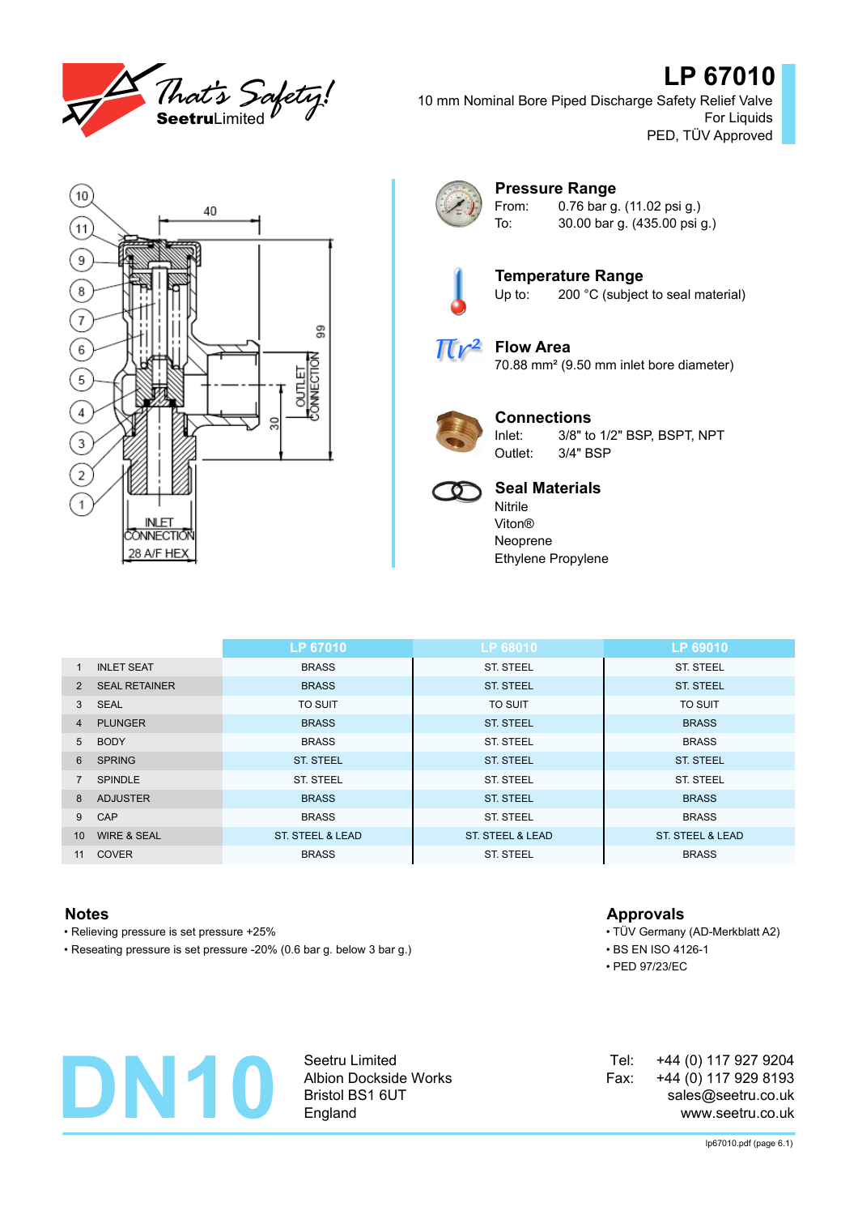

# **LP 67010**

10 mm Nominal Bore Piped Discharge Safety Relief Valve For Liquids PED, TÜV Approved





### **Pressure Range** From: 0.76 bar g. (11.02 psi g.)

To: 30.00 bar g. (435.00 psi g.)



**Temperature Range** Up to: 200 °C (subject to seal material)

 $\pi r^2$  Flow Area

70.88 mm² (9.50 mm inlet bore diameter)



# **Connections**

Inlet: 3/8" to 1/2" BSP, BSPT, NPT Outlet: 3/4" BSP



# **Seal Materials**

Nitrile Viton® Neoprene Ethylene Propylene

|                 |                        | LP 67010         | LP 68010                    | LP 69010         |
|-----------------|------------------------|------------------|-----------------------------|------------------|
|                 | <b>INLET SEAT</b>      | <b>BRASS</b>     | <b>ST. STEEL</b>            | <b>ST. STEEL</b> |
| $\mathcal{P}$   | <b>SEAL RETAINER</b>   | <b>BRASS</b>     | <b>ST. STEEL</b>            | <b>ST. STEEL</b> |
| $\mathbf{3}$    | <b>SEAL</b>            | <b>TO SUIT</b>   | <b>TO SUIT</b>              | <b>TO SUIT</b>   |
| 4               | <b>PLUNGER</b>         | <b>BRASS</b>     | <b>ST. STEEL</b>            | <b>BRASS</b>     |
| 5 <sup>5</sup>  | <b>BODY</b>            | <b>BRASS</b>     | <b>ST. STEEL</b>            | <b>BRASS</b>     |
| 6               | <b>SPRING</b>          | <b>ST. STEEL</b> | <b>ST. STEEL</b>            | <b>ST. STEEL</b> |
|                 | <b>SPINDLE</b>         | ST. STEEL        | <b>ST. STEEL</b>            | <b>ST. STEEL</b> |
| 8               | <b>ADJUSTER</b>        | <b>BRASS</b>     | <b>ST. STEEL</b>            | <b>BRASS</b>     |
| 9               | CAP                    | <b>BRASS</b>     | <b>ST. STEEL</b>            | <b>BRASS</b>     |
| 10 <sup>1</sup> | <b>WIRE &amp; SEAL</b> | ST. STEEL & LEAD | <b>ST. STEEL &amp; LEAD</b> | ST. STEEL & LEAD |
| 11              | <b>COVER</b>           | <b>BRASS</b>     | <b>ST. STEEL</b>            | <b>BRASS</b>     |

- Relieving pressure is set pressure +25% TÜV Germany (AD-Merkblatt A2)
- Reseating pressure is set pressure -20% (0.6 bar g. below 3 bar g.) BS EN ISO 4126-1

### **Notes Approvals**

- 
- 
- PED 97/23/EC



Seetru Limited Albion Dockside Works Bristol BS1 6UT England

+44 (0) 117 927 9204 +44 (0) 117 929 8193 sales@seetru.co.uk www.seetru.co.uk Tel: Fax: